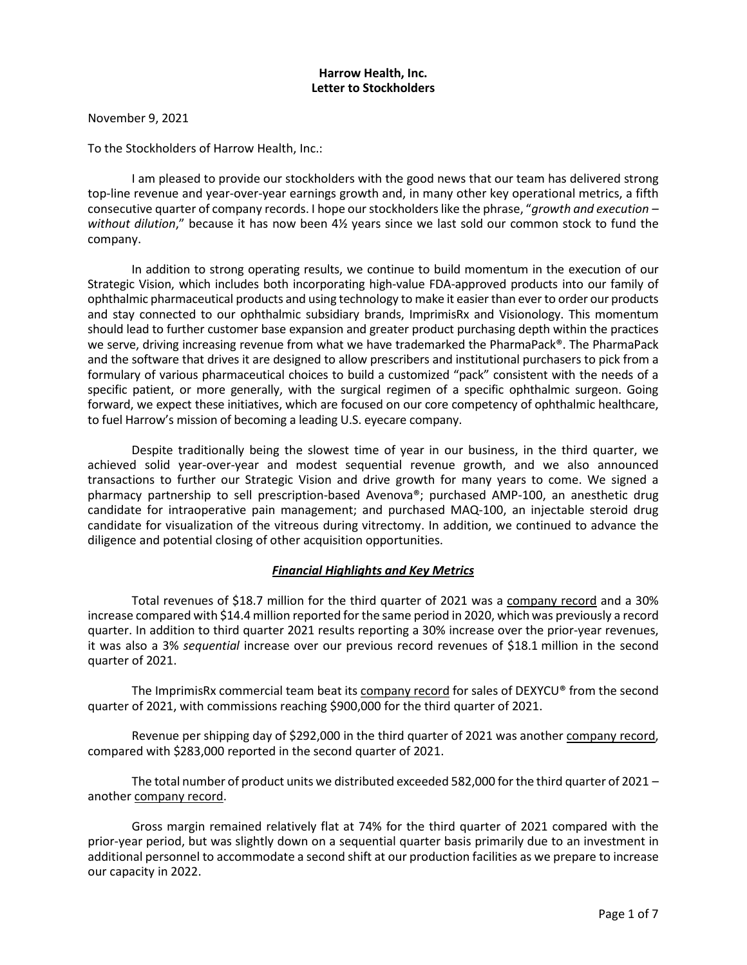November 9, 2021

To the Stockholders of Harrow Health, Inc.:

I am pleased to provide our stockholders with the good news that our team has delivered strong top-line revenue and year-over-year earnings growth and, in many other key operational metrics, a fifth consecutive quarter of company records. I hope our stockholders like the phrase, "*growth and execution – without dilution*," because it has now been 4½ years since we last sold our common stock to fund the company.

In addition to strong operating results, we continue to build momentum in the execution of our Strategic Vision, which includes both incorporating high-value FDA-approved products into our family of ophthalmic pharmaceutical products and using technology to make it easier than ever to order our products and stay connected to our ophthalmic subsidiary brands, ImprimisRx and Visionology. This momentum should lead to further customer base expansion and greater product purchasing depth within the practices we serve, driving increasing revenue from what we have trademarked the PharmaPack®. The PharmaPack and the software that drives it are designed to allow prescribers and institutional purchasers to pick from a formulary of various pharmaceutical choices to build a customized "pack" consistent with the needs of a specific patient, or more generally, with the surgical regimen of a specific ophthalmic surgeon. Going forward, we expect these initiatives, which are focused on our core competency of ophthalmic healthcare, to fuel Harrow's mission of becoming a leading U.S. eyecare company.

Despite traditionally being the slowest time of year in our business, in the third quarter, we achieved solid year-over-year and modest sequential revenue growth, and we also announced transactions to further our Strategic Vision and drive growth for many years to come. We signed a pharmacy partnership to sell prescription-based Avenova®; purchased AMP-100, an anesthetic drug candidate for intraoperative pain management; and purchased MAQ-100, an injectable steroid drug candidate for visualization of the vitreous during vitrectomy. In addition, we continued to advance the diligence and potential closing of other acquisition opportunities.

### *Financial Highlights and Key Metrics*

Total revenues of \$18.7 million for the third quarter of 2021 was a company record and a 30% increase compared with \$14.4 million reported for the same period in 2020, which was previously a record quarter. In addition to third quarter 2021 results reporting a 30% increase over the prior-year revenues, it was also a 3% *sequential* increase over our previous record revenues of \$18.1 million in the second quarter of 2021.

The ImprimisRx commercial team beat its company record for sales of DEXYCU® from the second quarter of 2021, with commissions reaching \$900,000 for the third quarter of 2021.

Revenue per shipping day of \$292,000 in the third quarter of 2021 was another company record, compared with \$283,000 reported in the second quarter of 2021.

The total number of product units we distributed exceeded 582,000 for the third quarter of 2021 – another company record.

Gross margin remained relatively flat at 74% for the third quarter of 2021 compared with the prior-year period, but was slightly down on a sequential quarter basis primarily due to an investment in additional personnel to accommodate a second shift at our production facilities as we prepare to increase our capacity in 2022.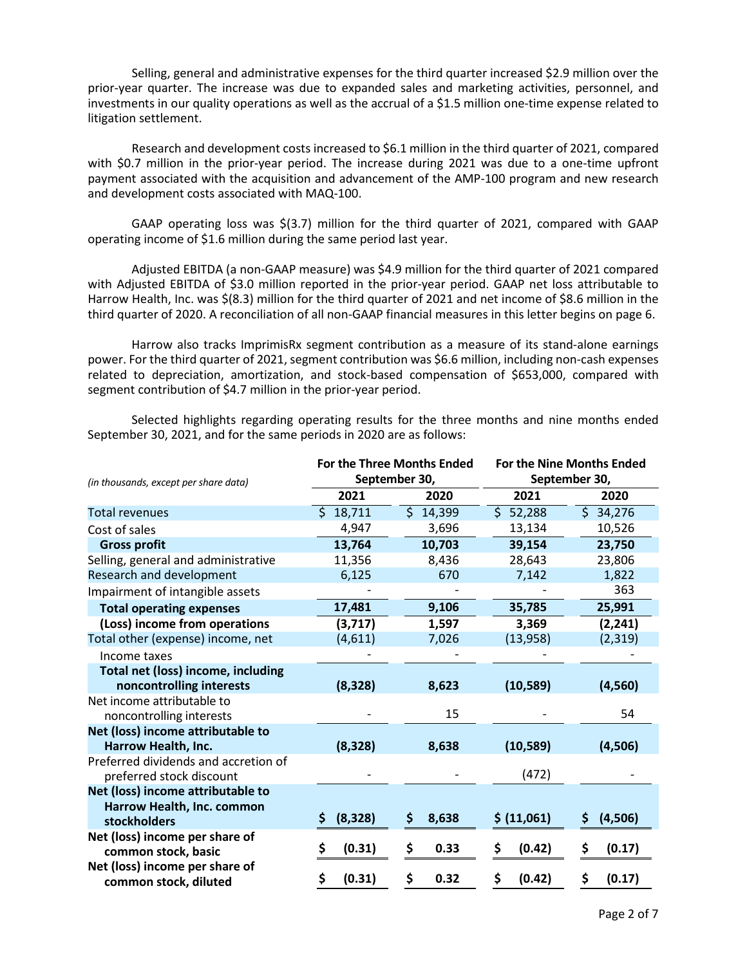Selling, general and administrative expenses for the third quarter increased \$2.9 million over the prior-year quarter. The increase was due to expanded sales and marketing activities, personnel, and investments in our quality operations as well as the accrual of a \$1.5 million one-time expense related to litigation settlement.

Research and development costs increased to \$6.1 million in the third quarter of 2021, compared with \$0.7 million in the prior-year period. The increase during 2021 was due to a one-time upfront payment associated with the acquisition and advancement of the AMP-100 program and new research and development costs associated with MAQ-100.

GAAP operating loss was \$(3.7) million for the third quarter of 2021, compared with GAAP operating income of \$1.6 million during the same period last year.

Adjusted EBITDA (a non-GAAP measure) was \$4.9 million for the third quarter of 2021 compared with Adjusted EBITDA of \$3.0 million reported in the prior-year period. GAAP net loss attributable to Harrow Health, Inc. was \$(8.3) million for the third quarter of 2021 and net income of \$8.6 million in the third quarter of 2020. A reconciliation of all non-GAAP financial measures in this letter begins on page 6.

Harrow also tracks ImprimisRx segment contribution as a measure of its stand-alone earnings power. For the third quarter of 2021, segment contribution was \$6.6 million, including non-cash expenses related to depreciation, amortization, and stock-based compensation of \$653,000, compared with segment contribution of \$4.7 million in the prior-year period.

Selected highlights regarding operating results for the three months and nine months ended September 30, 2021, and for the same periods in 2020 are as follows:

| (in thousands, except per share data)                            | For the Three Months Ended<br>September 30, |             | <b>For the Nine Months Ended</b><br>September 30, |               |
|------------------------------------------------------------------|---------------------------------------------|-------------|---------------------------------------------------|---------------|
|                                                                  | 2021                                        | 2020        | 2021                                              | 2020          |
| <b>Total revenues</b>                                            | $\mathsf{\dot{S}}$<br>18,711                | \$14,399    | \$ 52,288                                         | \$34,276      |
| Cost of sales                                                    | 4,947                                       | 3,696       | 13,134                                            | 10,526        |
| <b>Gross profit</b>                                              | 13,764                                      | 10,703      | 39,154                                            | 23,750        |
| Selling, general and administrative                              | 11,356                                      | 8,436       | 28,643                                            | 23,806        |
| Research and development                                         | 6,125                                       | 670         | 7,142                                             | 1,822         |
| Impairment of intangible assets                                  |                                             |             |                                                   | 363           |
| <b>Total operating expenses</b>                                  | 17,481                                      | 9,106       | 35,785                                            | 25,991        |
| (Loss) income from operations                                    | (3,717)                                     | 1,597       | 3,369                                             | (2, 241)      |
| Total other (expense) income, net                                | (4,611)                                     | 7,026       | (13,958)                                          | (2,319)       |
| Income taxes                                                     |                                             |             |                                                   |               |
| Total net (loss) income, including                               |                                             |             |                                                   |               |
| noncontrolling interests                                         | (8, 328)                                    | 8,623       | (10, 589)                                         | (4, 560)      |
| Net income attributable to                                       |                                             |             |                                                   |               |
| noncontrolling interests                                         |                                             | 15          |                                                   | 54            |
| Net (loss) income attributable to                                |                                             |             |                                                   |               |
| Harrow Health, Inc.                                              | (8, 328)                                    | 8,638       | (10, 589)                                         | (4,506)       |
| Preferred dividends and accretion of<br>preferred stock discount |                                             |             | (472)                                             |               |
| Net (loss) income attributable to                                |                                             |             |                                                   |               |
| Harrow Health, Inc. common                                       |                                             |             |                                                   |               |
| stockholders                                                     | (8, 328)<br>S                               | \$<br>8,638 | \$ (11,061)                                       | (4,506)<br>\$ |
| Net (loss) income per share of                                   |                                             |             |                                                   |               |
| common stock, basic                                              | (0.31)<br>\$                                | \$<br>0.33  | \$<br>(0.42)                                      | (0.17)<br>Ş   |
| Net (loss) income per share of<br>common stock, diluted          | (0.31)<br>\$                                | \$<br>0.32  | \$<br>(0.42)                                      | (0.17)<br>\$  |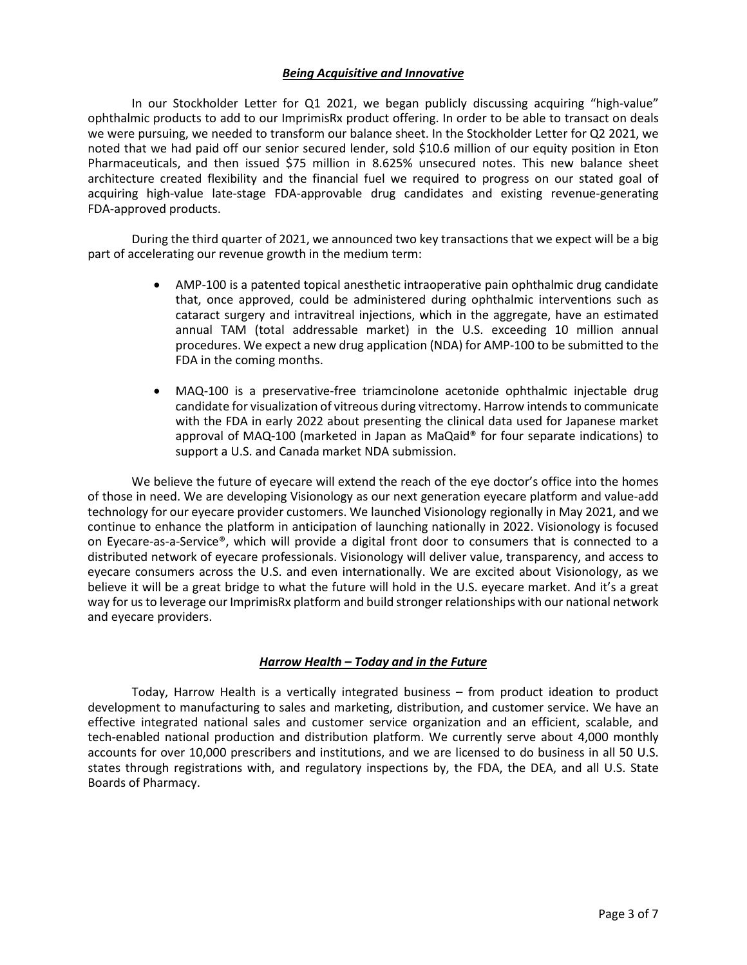# *Being Acquisitive and Innovative*

In our Stockholder Letter for Q1 2021, we began publicly discussing acquiring "high-value" ophthalmic products to add to our ImprimisRx product offering. In order to be able to transact on deals we were pursuing, we needed to transform our balance sheet. In the Stockholder Letter for Q2 2021, we noted that we had paid off our senior secured lender, sold \$10.6 million of our equity position in Eton Pharmaceuticals, and then issued \$75 million in 8.625% unsecured notes. This new balance sheet architecture created flexibility and the financial fuel we required to progress on our stated goal of acquiring high-value late-stage FDA-approvable drug candidates and existing revenue-generating FDA-approved products.

During the third quarter of 2021, we announced two key transactions that we expect will be a big part of accelerating our revenue growth in the medium term:

- AMP-100 is a patented topical anesthetic intraoperative pain ophthalmic drug candidate that, once approved, could be administered during ophthalmic interventions such as cataract surgery and intravitreal injections, which in the aggregate, have an estimated annual TAM (total addressable market) in the U.S. exceeding 10 million annual procedures. We expect a new drug application (NDA) for AMP-100 to be submitted to the FDA in the coming months.
- MAQ-100 is a preservative-free triamcinolone acetonide ophthalmic injectable drug candidate for visualization of vitreous during vitrectomy. Harrow intends to communicate with the FDA in early 2022 about presenting the clinical data used for Japanese market approval of MAQ-100 (marketed in Japan as MaQaid® for four separate indications) to support a U.S. and Canada market NDA submission.

We believe the future of eyecare will extend the reach of the eye doctor's office into the homes of those in need. We are developing Visionology as our next generation eyecare platform and value-add technology for our eyecare provider customers. We launched Visionology regionally in May 2021, and we continue to enhance the platform in anticipation of launching nationally in 2022. Visionology is focused on Eyecare-as-a-Service®, which will provide a digital front door to consumers that is connected to a distributed network of eyecare professionals. Visionology will deliver value, transparency, and access to eyecare consumers across the U.S. and even internationally. We are excited about Visionology, as we believe it will be a great bridge to what the future will hold in the U.S. eyecare market. And it's a great way for us to leverage our ImprimisRx platform and build stronger relationships with our national network and eyecare providers.

# *Harrow Health – Today and in the Future*

Today, Harrow Health is a vertically integrated business – from product ideation to product development to manufacturing to sales and marketing, distribution, and customer service. We have an effective integrated national sales and customer service organization and an efficient, scalable, and tech-enabled national production and distribution platform. We currently serve about 4,000 monthly accounts for over 10,000 prescribers and institutions, and we are licensed to do business in all 50 U.S. states through registrations with, and regulatory inspections by, the FDA, the DEA, and all U.S. State Boards of Pharmacy.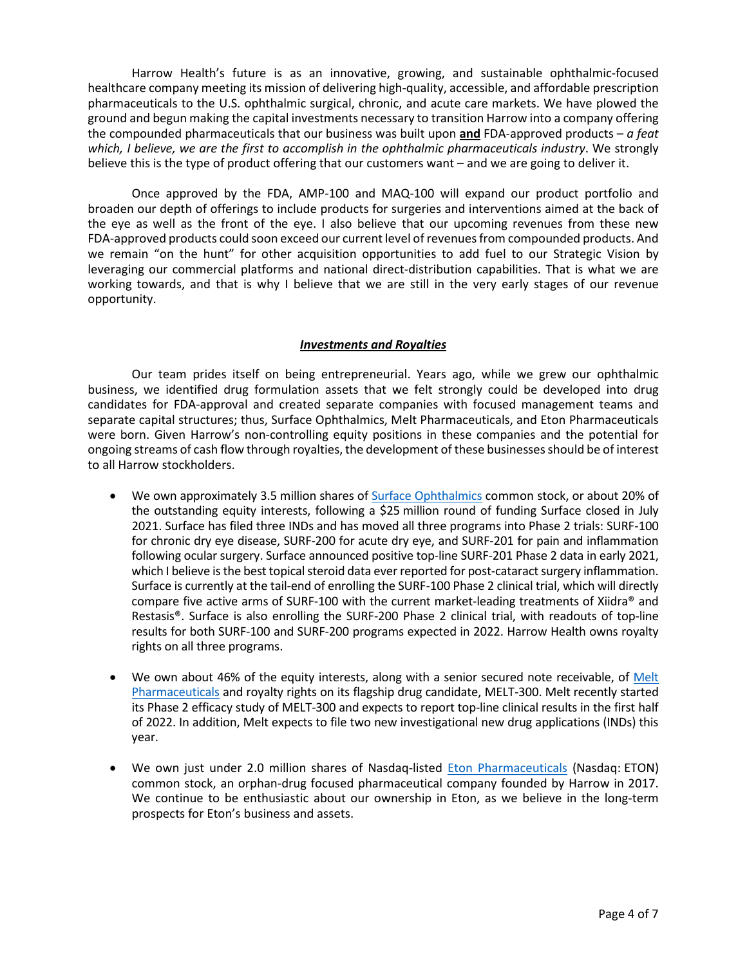Harrow Health's future is as an innovative, growing, and sustainable ophthalmic-focused healthcare company meeting its mission of delivering high-quality, accessible, and affordable prescription pharmaceuticals to the U.S. ophthalmic surgical, chronic, and acute care markets. We have plowed the ground and begun making the capital investments necessary to transition Harrow into a company offering the compounded pharmaceuticals that our business was built upon **and** FDA-approved products – *a feat which, I believe, we are the first to accomplish in the ophthalmic pharmaceuticals industry*. We strongly believe this is the type of product offering that our customers want – and we are going to deliver it.

Once approved by the FDA, AMP-100 and MAQ-100 will expand our product portfolio and broaden our depth of offerings to include products for surgeries and interventions aimed at the back of the eye as well as the front of the eye. I also believe that our upcoming revenues from these new FDA-approved products could soon exceed our current level of revenues from compounded products. And we remain "on the hunt" for other acquisition opportunities to add fuel to our Strategic Vision by leveraging our commercial platforms and national direct-distribution capabilities. That is what we are working towards, and that is why I believe that we are still in the very early stages of our revenue opportunity.

# *Investments and Royalties*

Our team prides itself on being entrepreneurial. Years ago, while we grew our ophthalmic business, we identified drug formulation assets that we felt strongly could be developed into drug candidates for FDA-approval and created separate companies with focused management teams and separate capital structures; thus, Surface Ophthalmics, Melt Pharmaceuticals, and Eton Pharmaceuticals were born. Given Harrow's non-controlling equity positions in these companies and the potential for ongoing streams of cash flow through royalties, the development of these businesses should be of interest to all Harrow stockholders.

- We own approximately 3.5 million shares of [Surface Ophthalmics](https://surfaceophthalmics.com/) common stock, or about 20% of the outstanding equity interests, following a \$25 million round of funding Surface closed in July 2021. Surface has filed three INDs and has moved all three programs into Phase 2 trials: SURF-100 for chronic dry eye disease, SURF-200 for acute dry eye, and SURF-201 for pain and inflammation following ocular surgery. Surface announced positive top-line SURF-201 Phase 2 data in early 2021, which I believe is the best topical steroid data ever reported for post-cataract surgery inflammation. Surface is currently at the tail-end of enrolling the SURF-100 Phase 2 clinical trial, which will directly compare five active arms of SURF-100 with the current market-leading treatments of Xiidra® and Restasis®. Surface is also enrolling the SURF-200 Phase 2 clinical trial, with readouts of top-line results for both SURF-100 and SURF-200 programs expected in 2022. Harrow Health owns royalty rights on all three programs.
- We own about 46% of the equity interests, along with a senior secured note receivable, of Melt [Pharmaceuticals](http://www.meltpharma.com/) and royalty rights on its flagship drug candidate, MELT-300. Melt recently started its Phase 2 efficacy study of MELT-300 and expects to report top-line clinical results in the first half of 2022. In addition, Melt expects to file two new investigational new drug applications (INDs) this year.
- We own just under 2.0 million shares of Nasdaq-listed [Eton Pharmaceuticals](http://www.etonpharma.com/) (Nasdaq: ETON) common stock, an orphan-drug focused pharmaceutical company founded by Harrow in 2017. We continue to be enthusiastic about our ownership in Eton, as we believe in the long-term prospects for Eton's business and assets.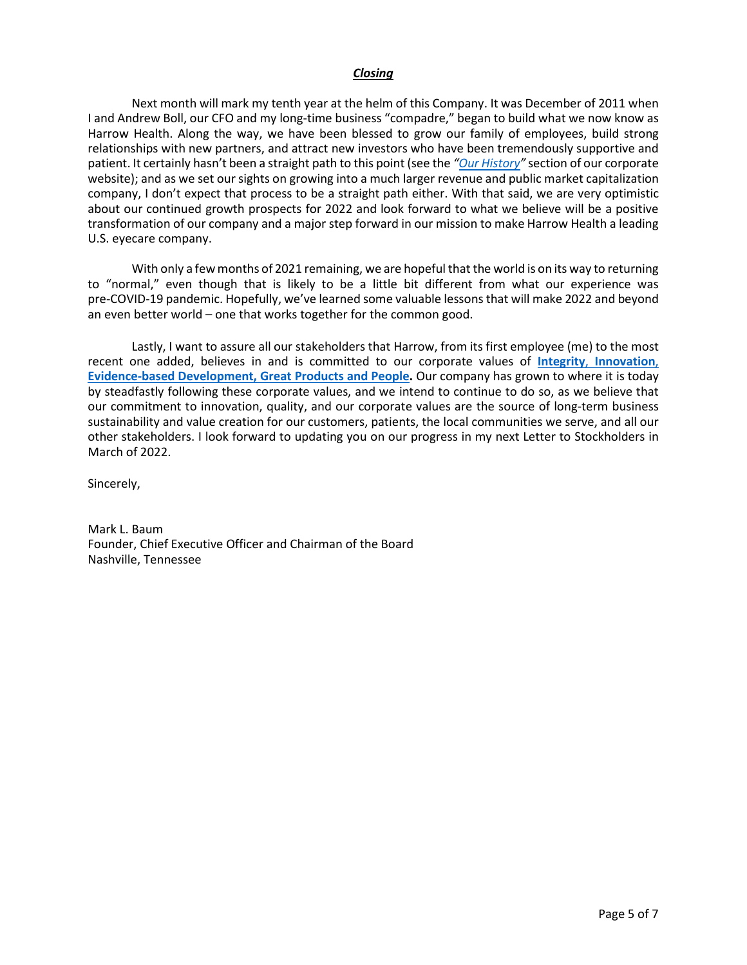### *Closing*

Next month will mark my tenth year at the helm of this Company. It was December of 2011 when I and Andrew Boll, our CFO and my long-time business "compadre," began to build what we now know as Harrow Health. Along the way, we have been blessed to grow our family of employees, build strong relationships with new partners, and attract new investors who have been tremendously supportive and patient. It certainly hasn't been a straight path to this point (see the *["Our History"](https://harrowinc.com/about.html#history)* section of our corporate website); and as we set our sights on growing into a much larger revenue and public market capitalization company, I don't expect that process to be a straight path either. With that said, we are very optimistic about our continued growth prospects for 2022 and look forward to what we believe will be a positive transformation of our company and a major step forward in our mission to make Harrow Health a leading U.S. eyecare company.

With only a few months of 2021 remaining, we are hopeful that the world is on its way to returning to "normal," even though that is likely to be a little bit different from what our experience was pre-COVID-19 pandemic. Hopefully, we've learned some valuable lessons that will make 2022 and beyond an even better world – one that works together for the common good.

Lastly, I want to assure all our stakeholders that Harrow, from its first employee (me) to the most recent one added, believes in and is committed to our corporate values of **Integrity**, **[Innovation](https://harrowinc.com/about.html#missionVisionValues)**, **[Evidence-based Development, Great Products and People.](https://harrowinc.com/about.html#missionVisionValues)** Our company has grown to where it is today by steadfastly following these corporate values, and we intend to continue to do so, as we believe that our commitment to innovation, quality, and our corporate values are the source of long-term business sustainability and value creation for our customers, patients, the local communities we serve, and all our other stakeholders. I look forward to updating you on our progress in my next Letter to Stockholders in March of 2022.

Sincerely,

Mark L. Baum Founder, Chief Executive Officer and Chairman of the Board Nashville, Tennessee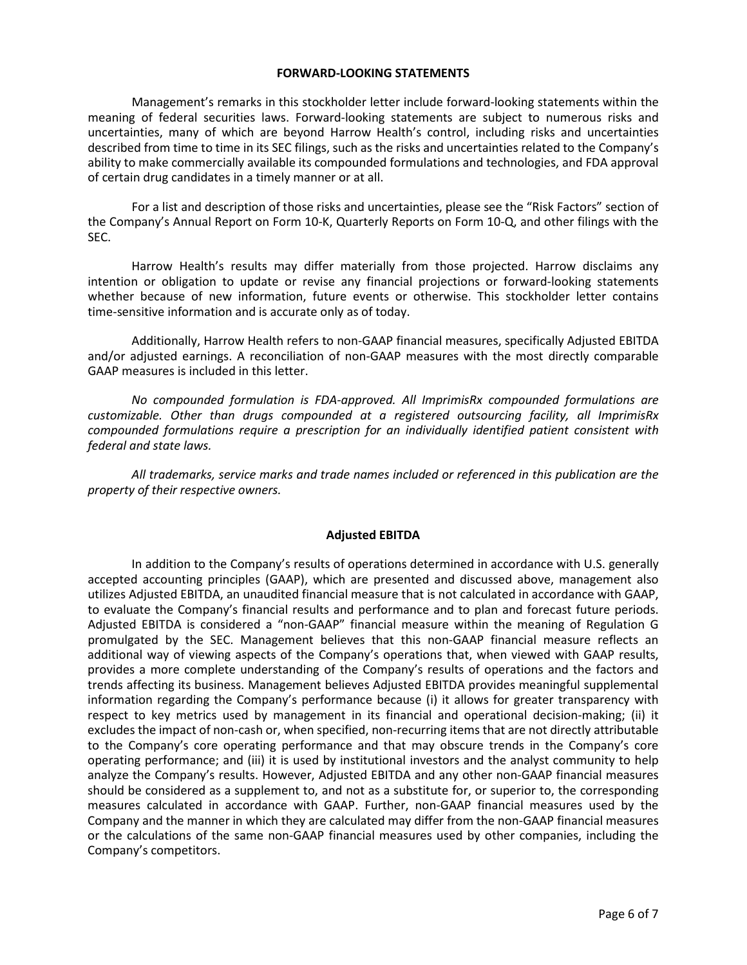#### **FORWARD-LOOKING STATEMENTS**

Management's remarks in this stockholder letter include forward-looking statements within the meaning of federal securities laws. Forward-looking statements are subject to numerous risks and uncertainties, many of which are beyond Harrow Health's control, including risks and uncertainties described from time to time in its SEC filings, such as the risks and uncertainties related to the Company's ability to make commercially available its compounded formulations and technologies, and FDA approval of certain drug candidates in a timely manner or at all.

For a list and description of those risks and uncertainties, please see the "Risk Factors" section of the Company's Annual Report on Form 10-K, Quarterly Reports on Form 10-Q, and other filings with the SEC.

Harrow Health's results may differ materially from those projected. Harrow disclaims any intention or obligation to update or revise any financial projections or forward-looking statements whether because of new information, future events or otherwise. This stockholder letter contains time-sensitive information and is accurate only as of today.

Additionally, Harrow Health refers to non-GAAP financial measures, specifically Adjusted EBITDA and/or adjusted earnings. A reconciliation of non-GAAP measures with the most directly comparable GAAP measures is included in this letter.

*No compounded formulation is FDA-approved. All ImprimisRx compounded formulations are customizable. Other than drugs compounded at a registered outsourcing facility, all ImprimisRx compounded formulations require a prescription for an individually identified patient consistent with federal and state laws.*

*All trademarks, service marks and trade names included or referenced in this publication are the property of their respective owners.* 

### **Adjusted EBITDA**

In addition to the Company's results of operations determined in accordance with U.S. generally accepted accounting principles (GAAP), which are presented and discussed above, management also utilizes Adjusted EBITDA, an unaudited financial measure that is not calculated in accordance with GAAP, to evaluate the Company's financial results and performance and to plan and forecast future periods. Adjusted EBITDA is considered a "non-GAAP" financial measure within the meaning of Regulation G promulgated by the SEC. Management believes that this non-GAAP financial measure reflects an additional way of viewing aspects of the Company's operations that, when viewed with GAAP results, provides a more complete understanding of the Company's results of operations and the factors and trends affecting its business. Management believes Adjusted EBITDA provides meaningful supplemental information regarding the Company's performance because (i) it allows for greater transparency with respect to key metrics used by management in its financial and operational decision-making; (ii) it excludes the impact of non-cash or, when specified, non-recurring items that are not directly attributable to the Company's core operating performance and that may obscure trends in the Company's core operating performance; and (iii) it is used by institutional investors and the analyst community to help analyze the Company's results. However, Adjusted EBITDA and any other non-GAAP financial measures should be considered as a supplement to, and not as a substitute for, or superior to, the corresponding measures calculated in accordance with GAAP. Further, non-GAAP financial measures used by the Company and the manner in which they are calculated may differ from the non-GAAP financial measures or the calculations of the same non-GAAP financial measures used by other companies, including the Company's competitors.